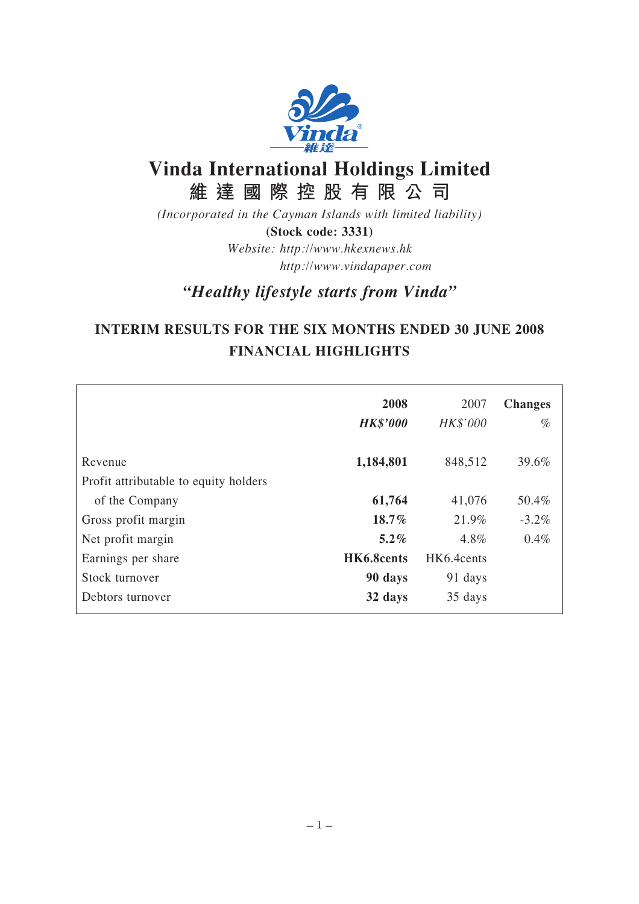

# **Vinda International Holdings Limited 維達國際控股有限公司**

*(Incorporated in the Cayman Islands with limited liability)* **(Stock code: 3331)** *Website: http://www.hkexnews.hk http://www.vindapaper.com*

*"Healthy lifestyle starts from Vinda"*

# **INTERIM RESULTS FOR THE SIX MONTHS ENDED 30 JUNE 2008 FINANCIAL HIGHLIGHTS**

|                                                  | 2008<br><b>HK\$'000</b> | 2007<br>HK\$'000 | <b>Changes</b><br>$\%$ |
|--------------------------------------------------|-------------------------|------------------|------------------------|
|                                                  |                         |                  |                        |
| Revenue<br>Profit attributable to equity holders | 1,184,801               | 848,512          | 39.6%                  |
| of the Company                                   | 61,764                  | 41,076           | 50.4%                  |
| Gross profit margin                              | 18.7%                   | 21.9%            | $-3.2\%$               |
| Net profit margin                                | $5.2\%$                 | 4.8%             | $0.4\%$                |
| Earnings per share                               | HK6.8cents              | HK6.4cents       |                        |
| Stock turnover                                   | 90 days                 | 91 days          |                        |
| Debtors turnover                                 | 32 days                 | 35 days          |                        |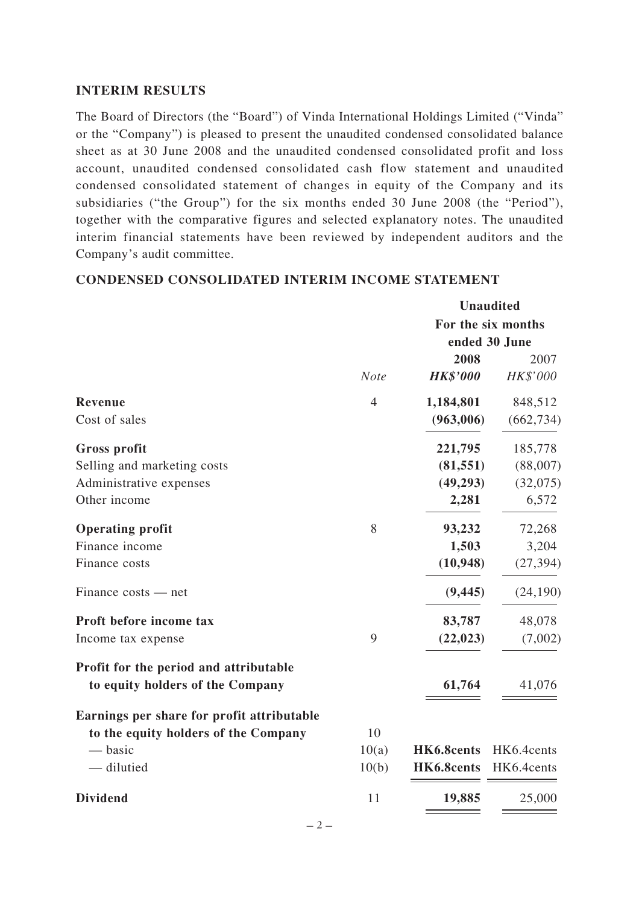### **INTERIM RESULTS**

The Board of Directors (the "Board") of Vinda International Holdings Limited ("Vinda" or the "Company") is pleased to present the unaudited condensed consolidated balance sheet as at 30 June 2008 and the unaudited condensed consolidated profit and loss account, unaudited condensed consolidated cash flow statement and unaudited condensed consolidated statement of changes in equity of the Company and its subsidiaries ("the Group") for the six months ended 30 June 2008 (the "Period"), together with the comparative figures and selected explanatory notes. The unaudited interim financial statements have been reviewed by independent auditors and the Company's audit committee.

|                                                                            |                | <b>Unaudited</b> |                    |
|----------------------------------------------------------------------------|----------------|------------------|--------------------|
|                                                                            |                |                  | For the six months |
|                                                                            |                |                  | ended 30 June      |
|                                                                            |                | 2008             | 2007               |
|                                                                            | <b>Note</b>    | <b>HK\$'000</b>  | HK\$'000           |
| <b>Revenue</b>                                                             | $\overline{4}$ | 1,184,801        | 848,512            |
| Cost of sales                                                              |                | (963,006)        | (662, 734)         |
| <b>Gross profit</b>                                                        |                | 221,795          | 185,778            |
| Selling and marketing costs                                                |                | (81, 551)        | (88,007)           |
| Administrative expenses                                                    |                | (49, 293)        | (32,075)           |
| Other income                                                               |                | 2,281            | 6,572              |
| <b>Operating profit</b>                                                    | 8              | 93,232           | 72,268             |
| Finance income                                                             |                | 1,503            | 3,204              |
| Finance costs                                                              |                | (10, 948)        | (27, 394)          |
| $Finance costs - net$                                                      |                | (9, 445)         | (24, 190)          |
| Proft before income tax                                                    |                | 83,787           | 48,078             |
| Income tax expense                                                         | 9              | (22, 023)        | (7,002)            |
| Profit for the period and attributable<br>to equity holders of the Company |                | 61,764           | 41,076             |
| Earnings per share for profit attributable                                 |                |                  |                    |
| to the equity holders of the Company                                       | 10             |                  |                    |
| — basic                                                                    | 10(a)          | HK6.8cents       | HK6.4cents         |
| - dilutied                                                                 | 10(b)          | HK6.8cents       | HK6.4cents         |
| <b>Dividend</b>                                                            | 11             | 19,885           | 25,000             |
|                                                                            |                |                  |                    |

### **CONDENSED CONSOLIDATED INTERIM INCOME STATEMENT**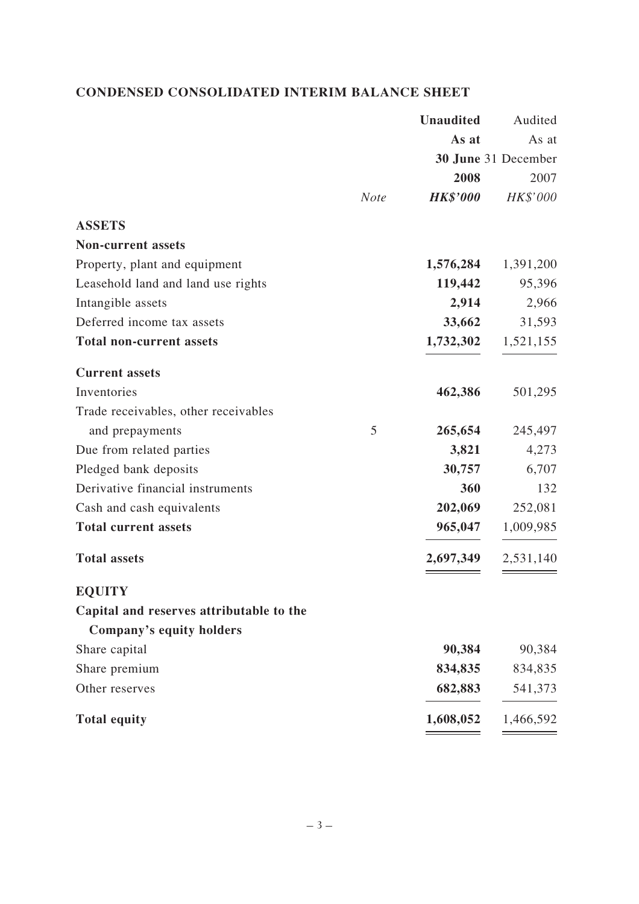## **CONDENSED CONSOLIDATED INTERIM BALANCE SHEET**

|                                          | <b>Unaudited</b> | Audited             |
|------------------------------------------|------------------|---------------------|
|                                          | As at            | As at               |
|                                          |                  | 30 June 31 December |
|                                          | 2008             | 2007                |
| <b>Note</b>                              | <b>HK\$'000</b>  | HK\$'000            |
| <b>ASSETS</b>                            |                  |                     |
| <b>Non-current assets</b>                |                  |                     |
| Property, plant and equipment            | 1,576,284        | 1,391,200           |
| Leasehold land and land use rights       | 119,442          | 95,396              |
| Intangible assets                        | 2,914            | 2,966               |
| Deferred income tax assets               | 33,662           | 31,593              |
| <b>Total non-current assets</b>          | 1,732,302        | 1,521,155           |
| <b>Current assets</b>                    |                  |                     |
| Inventories                              | 462,386          | 501,295             |
| Trade receivables, other receivables     |                  |                     |
| 5<br>and prepayments                     | 265,654          | 245,497             |
| Due from related parties                 | 3,821            | 4,273               |
| Pledged bank deposits                    | 30,757           | 6,707               |
| Derivative financial instruments         | 360              | 132                 |
| Cash and cash equivalents                | 202,069          | 252,081             |
| <b>Total current assets</b>              | 965,047          | 1,009,985           |
| <b>Total assets</b>                      | 2,697,349        | 2,531,140           |
| <b>EQUITY</b>                            |                  |                     |
| Capital and reserves attributable to the |                  |                     |
| Company's equity holders                 |                  |                     |
| Share capital                            | 90,384           | 90,384              |
| Share premium                            | 834,835          | 834,835             |
| Other reserves                           | 682,883          | 541,373             |
| <b>Total equity</b>                      | 1,608,052        | 1,466,592           |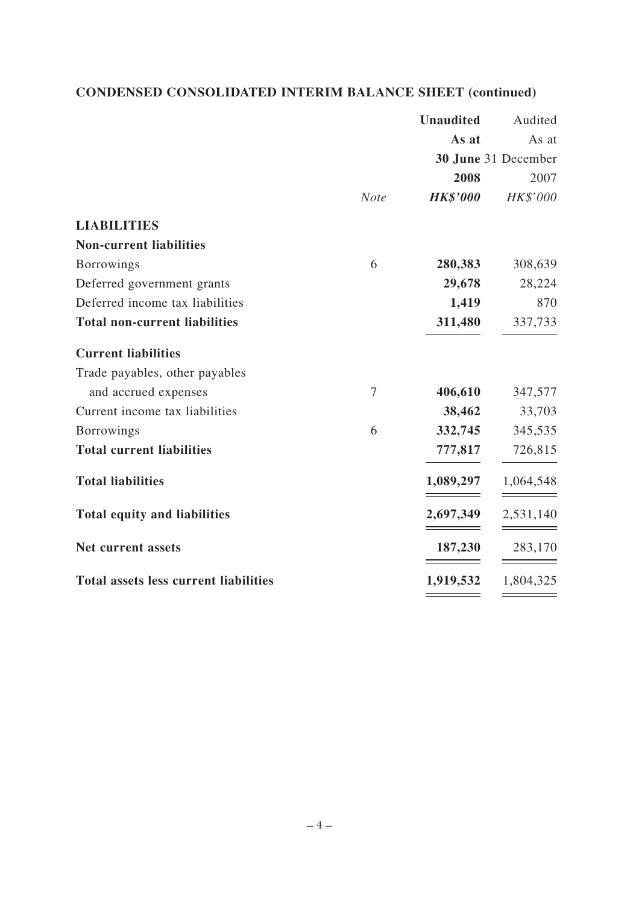## **CONDENSED CONSOLIDATED INTERIM BALANCE SHEET (continued)**

|                                              |             | <b>Unaudited</b> | Audited             |
|----------------------------------------------|-------------|------------------|---------------------|
|                                              |             | As at            | As at               |
|                                              |             |                  | 30 June 31 December |
|                                              |             | 2008             | 2007                |
|                                              | <b>Note</b> | <b>HK\$'000</b>  | HK\$'000            |
| <b>LIABILITIES</b>                           |             |                  |                     |
| <b>Non-current liabilities</b>               |             |                  |                     |
| <b>Borrowings</b>                            | 6           | 280,383          | 308,639             |
| Deferred government grants                   |             | 29,678           | 28,224              |
| Deferred income tax liabilities              |             | 1,419            | 870                 |
| <b>Total non-current liabilities</b>         |             | 311,480          | 337,733             |
| <b>Current liabilities</b>                   |             |                  |                     |
| Trade payables, other payables               |             |                  |                     |
| and accrued expenses                         | 7           | 406,610          | 347,577             |
| Current income tax liabilities               |             | 38,462           | 33,703              |
| <b>Borrowings</b>                            | 6           | 332,745          | 345,535             |
| <b>Total current liabilities</b>             |             | 777,817          | 726,815             |
| <b>Total liabilities</b>                     |             | 1,089,297        | 1,064,548           |
| <b>Total equity and liabilities</b>          |             | 2,697,349        | 2,531,140           |
| Net current assets                           |             | 187,230          | 283,170             |
| <b>Total assets less current liabilities</b> |             | 1,919,532        | 1,804,325           |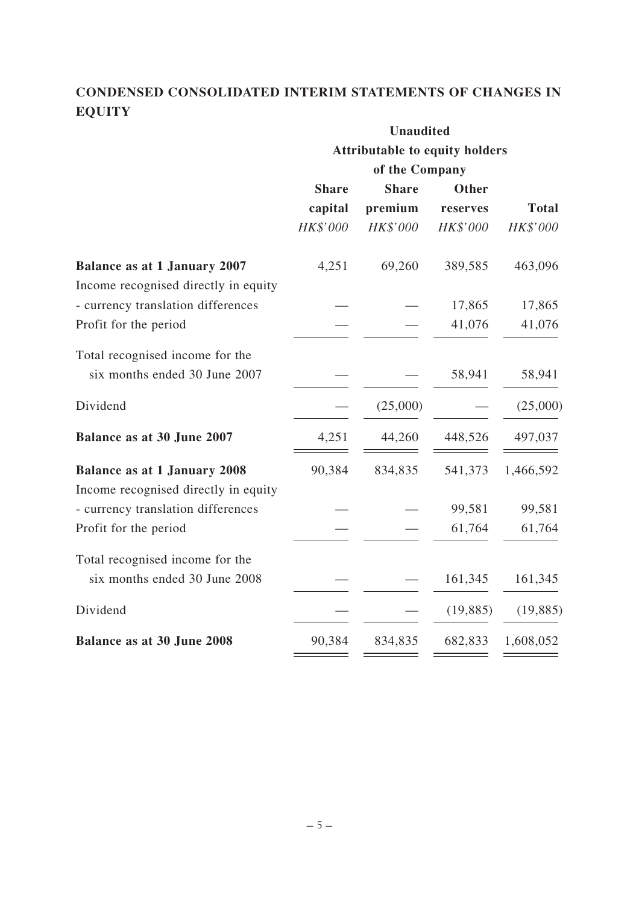## **CONDENSED CONSOLIDATED INTERIM STATEMENTS OF CHANGES IN EQUITY**

|                                                                             | <b>Unaudited</b><br><b>Attributable to equity holders</b> |                |           |              |
|-----------------------------------------------------------------------------|-----------------------------------------------------------|----------------|-----------|--------------|
|                                                                             |                                                           |                |           |              |
|                                                                             |                                                           | of the Company |           |              |
|                                                                             | <b>Share</b>                                              | <b>Share</b>   | Other     |              |
|                                                                             | capital                                                   | premium        | reserves  | <b>Total</b> |
|                                                                             | HK\$'000                                                  | HK\$'000       | HK\$'000  | HK\$'000     |
| <b>Balance as at 1 January 2007</b><br>Income recognised directly in equity | 4,251                                                     | 69,260         | 389,585   | 463,096      |
| - currency translation differences                                          |                                                           |                | 17,865    | 17,865       |
| Profit for the period                                                       |                                                           |                | 41,076    | 41,076       |
| Total recognised income for the<br>six months ended 30 June 2007            |                                                           |                | 58,941    | 58,941       |
| Dividend                                                                    |                                                           | (25,000)       |           | (25,000)     |
| Balance as at 30 June 2007                                                  | 4,251                                                     | 44,260         | 448,526   | 497,037      |
| <b>Balance as at 1 January 2008</b>                                         | 90,384                                                    | 834,835        | 541,373   | 1,466,592    |
| Income recognised directly in equity                                        |                                                           |                |           |              |
| - currency translation differences                                          |                                                           |                | 99,581    | 99,581       |
| Profit for the period                                                       |                                                           |                | 61,764    | 61,764       |
| Total recognised income for the<br>six months ended 30 June 2008            |                                                           |                | 161,345   | 161,345      |
| Dividend                                                                    |                                                           |                | (19, 885) | (19, 885)    |
| Balance as at 30 June 2008                                                  | 90,384                                                    | 834,835        | 682,833   | 1,608,052    |
|                                                                             |                                                           |                |           |              |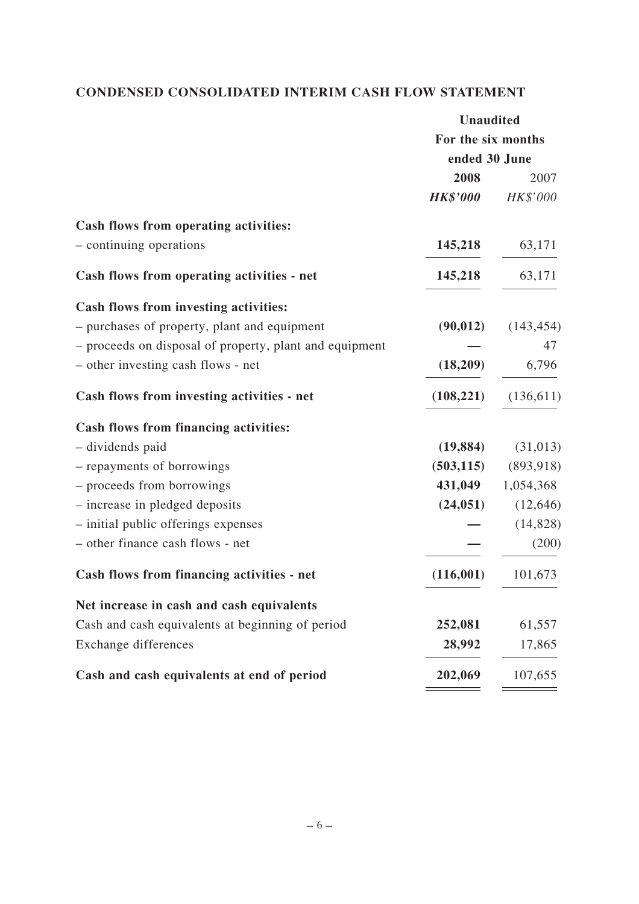## **CONDENSED CONSOLIDATED INTERIM CASH FLOW STATEMENT**

|                                                         | <b>Unaudited</b>   |            |
|---------------------------------------------------------|--------------------|------------|
|                                                         | For the six months |            |
|                                                         | ended 30 June      |            |
|                                                         | 2008               | 2007       |
|                                                         | <b>HK\$'000</b>    | HK\$'000   |
| Cash flows from operating activities:                   |                    |            |
| - continuing operations                                 | 145,218            | 63,171     |
| Cash flows from operating activities - net              | 145,218            | 63,171     |
| Cash flows from investing activities:                   |                    |            |
| - purchases of property, plant and equipment            | (90, 012)          | (143, 454) |
| - proceeds on disposal of property, plant and equipment |                    | 47         |
| - other investing cash flows - net                      | (18,209)           | 6,796      |
| Cash flows from investing activities - net              | (108, 221)         | (136,611)  |
| Cash flows from financing activities:                   |                    |            |
| - dividends paid                                        | (19, 884)          | (31, 013)  |
| - repayments of borrowings                              | (503, 115)         | (893, 918) |
| - proceeds from borrowings                              | 431,049            | 1,054,368  |
| - increase in pledged deposits                          | (24, 051)          | (12, 646)  |
| - initial public offerings expenses                     |                    | (14, 828)  |
| - other finance cash flows - net                        |                    | (200)      |
| Cash flows from financing activities - net              | (116,001)          | 101,673    |
| Net increase in cash and cash equivalents               |                    |            |
| Cash and cash equivalents at beginning of period        | 252,081            | 61,557     |
| Exchange differences                                    | 28,992             | 17,865     |
| Cash and cash equivalents at end of period              | 202,069            | 107,655    |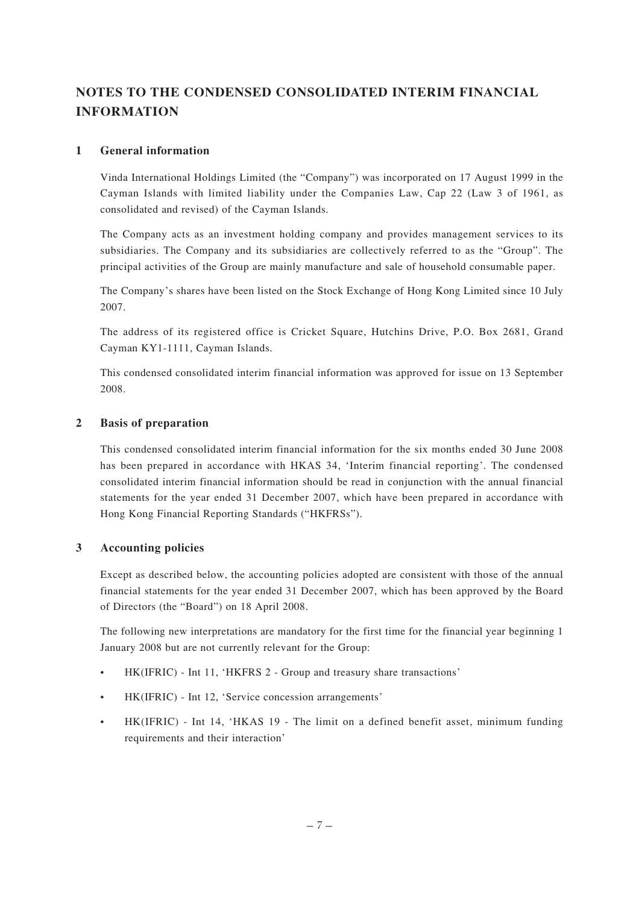## **NOTES TO THE CONDENSED CONSOLIDATED INTERIM FINANCIAL INFORMATION**

#### **1 General information**

Vinda International Holdings Limited (the "Company") was incorporated on 17 August 1999 in the Cayman Islands with limited liability under the Companies Law, Cap 22 (Law 3 of 1961, as consolidated and revised) of the Cayman Islands.

The Company acts as an investment holding company and provides management services to its subsidiaries. The Company and its subsidiaries are collectively referred to as the "Group". The principal activities of the Group are mainly manufacture and sale of household consumable paper.

The Company's shares have been listed on the Stock Exchange of Hong Kong Limited since 10 July 2007.

The address of its registered office is Cricket Square, Hutchins Drive, P.O. Box 2681, Grand Cayman KY1-1111, Cayman Islands.

This condensed consolidated interim financial information was approved for issue on 13 September 2008.

#### **2 Basis of preparation**

This condensed consolidated interim financial information for the six months ended 30 June 2008 has been prepared in accordance with HKAS 34, 'Interim financial reporting'. The condensed consolidated interim financial information should be read in conjunction with the annual financial statements for the year ended 31 December 2007, which have been prepared in accordance with Hong Kong Financial Reporting Standards ("HKFRSs").

#### **3 Accounting policies**

Except as described below, the accounting policies adopted are consistent with those of the annual financial statements for the year ended 31 December 2007, which has been approved by the Board of Directors (the "Board") on 18 April 2008.

The following new interpretations are mandatory for the first time for the financial year beginning 1 January 2008 but are not currently relevant for the Group:

- HK(IFRIC) Int 11, 'HKFRS 2 Group and treasury share transactions'
- HK(IFRIC) Int 12, 'Service concession arrangements'
- HK(IFRIC) Int 14, 'HKAS 19 The limit on a defined benefit asset, minimum funding requirements and their interaction'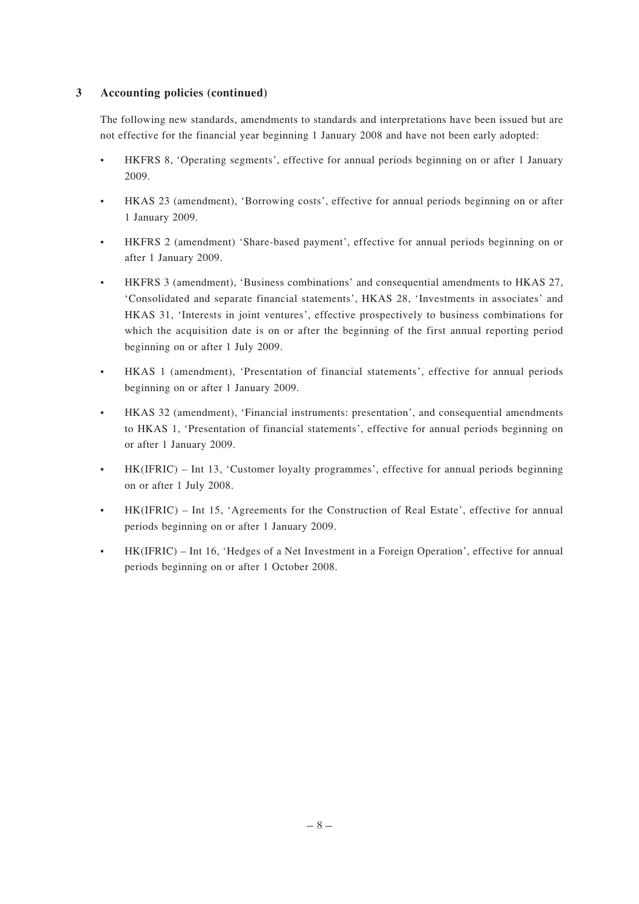#### **3 Accounting policies (continued)**

The following new standards, amendments to standards and interpretations have been issued but are not effective for the financial year beginning 1 January 2008 and have not been early adopted:

- HKFRS 8, 'Operating segments', effective for annual periods beginning on or after 1 January 2009.
- HKAS 23 (amendment), 'Borrowing costs', effective for annual periods beginning on or after 1 January 2009.
- HKFRS 2 (amendment) 'Share-based payment', effective for annual periods beginning on or after 1 January 2009.
- HKFRS 3 (amendment), 'Business combinations' and consequential amendments to HKAS 27, 'Consolidated and separate financial statements', HKAS 28, 'Investments in associates' and HKAS 31, 'Interests in joint ventures', effective prospectively to business combinations for which the acquisition date is on or after the beginning of the first annual reporting period beginning on or after 1 July 2009.
- HKAS 1 (amendment), 'Presentation of financial statements', effective for annual periods beginning on or after 1 January 2009.
- HKAS 32 (amendment), 'Financial instruments: presentation', and consequential amendments to HKAS 1, 'Presentation of financial statements', effective for annual periods beginning on or after 1 January 2009.
- HK(IFRIC) Int 13, 'Customer loyalty programmes', effective for annual periods beginning on or after 1 July 2008.
- HK(IFRIC) Int 15, 'Agreements for the Construction of Real Estate', effective for annual periods beginning on or after 1 January 2009.
- HK(IFRIC) Int 16, 'Hedges of a Net Investment in a Foreign Operation', effective for annual periods beginning on or after 1 October 2008.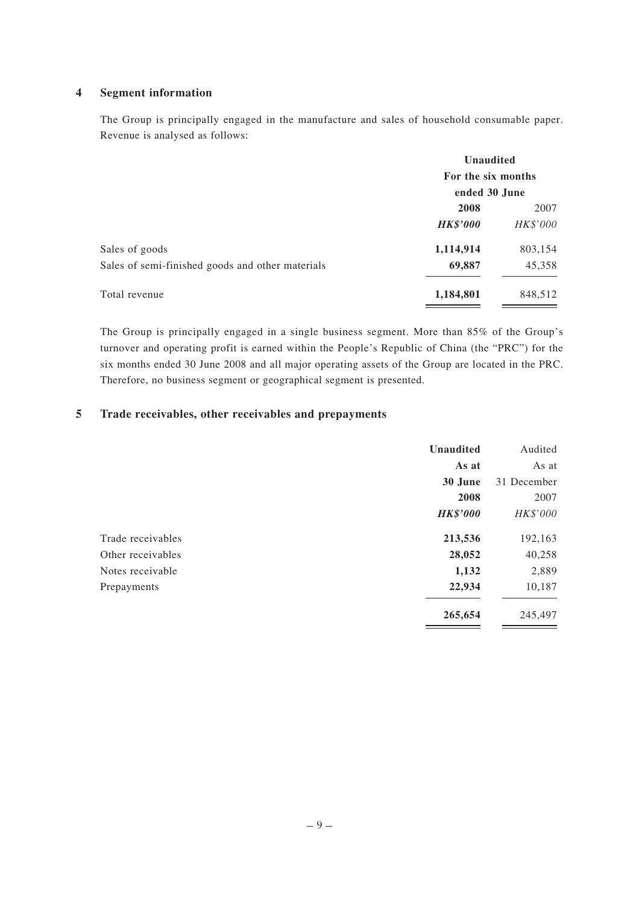#### **4 Segment information**

The Group is principally engaged in the manufacture and sales of household consumable paper. Revenue is analysed as follows:

| <b>Unaudited</b><br>For the six months<br>ended 30 June |         |                 |          |
|---------------------------------------------------------|---------|-----------------|----------|
|                                                         |         | 2008            | 2007     |
|                                                         |         | <b>HK\$'000</b> | HK\$'000 |
| 1,114,914                                               | 803,154 |                 |          |
| 69,887                                                  | 45,358  |                 |          |
| 1,184,801                                               | 848,512 |                 |          |
|                                                         |         |                 |          |

The Group is principally engaged in a single business segment. More than 85% of the Group's turnover and operating profit is earned within the People's Republic of China (the "PRC") for the six months ended 30 June 2008 and all major operating assets of the Group are located in the PRC. Therefore, no business segment or geographical segment is presented.

#### **5 Trade receivables, other receivables and prepayments**

|                   | <b>Unaudited</b> | Audited     |
|-------------------|------------------|-------------|
|                   | As at            | As at       |
|                   | 30 June          | 31 December |
|                   | 2008             | 2007        |
|                   | <b>HK\$'000</b>  | HK\$'000    |
| Trade receivables | 213,536          | 192,163     |
| Other receivables | 28,052           | 40,258      |
| Notes receivable  | 1,132            | 2,889       |
| Prepayments       | 22,934           | 10,187      |
|                   | 265,654          | 245,497     |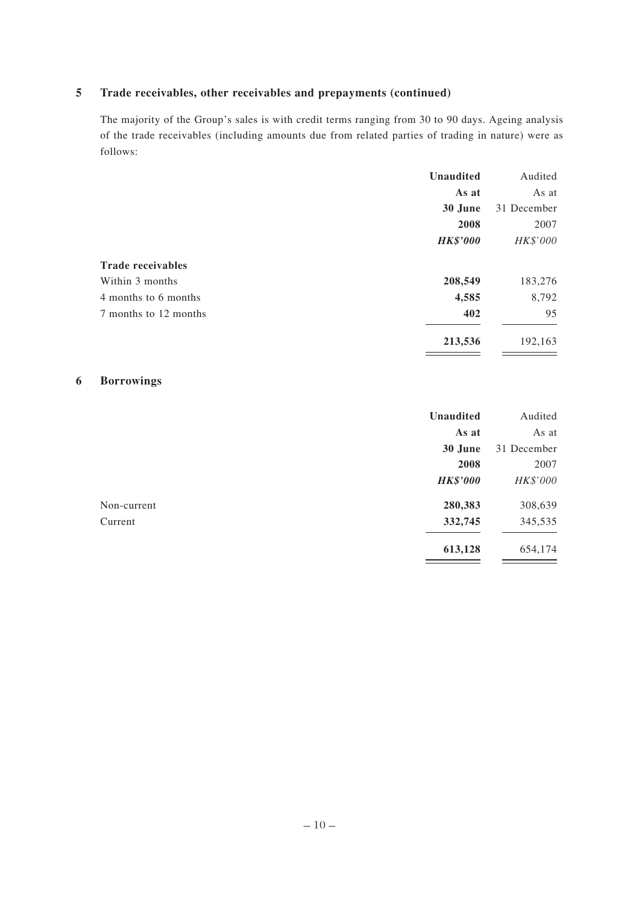## **5 Trade receivables, other receivables and prepayments (continued)**

The majority of the Group's sales is with credit terms ranging from 30 to 90 days. Ageing analysis of the trade receivables (including amounts due from related parties of trading in nature) were as follows:

|      | Audited                                                                                |
|------|----------------------------------------------------------------------------------------|
|      | As at                                                                                  |
|      | 31 December                                                                            |
| 2008 | 2007                                                                                   |
|      | HK\$'000                                                                               |
|      |                                                                                        |
|      | 183,276                                                                                |
|      | 8,792                                                                                  |
| 402  | 95                                                                                     |
|      | 192,163                                                                                |
|      | <b>Unaudited</b><br>As at<br>30 June<br><b>HK\$'000</b><br>208,549<br>4,585<br>213,536 |

#### **6 Borrowings**

|             | <b>Unaudited</b> | Audited     |
|-------------|------------------|-------------|
|             | As at            | As at       |
|             | 30 June          | 31 December |
|             | 2008             | 2007        |
|             | <b>HK\$'000</b>  | HK\$'000    |
| Non-current | 280,383          | 308,639     |
| Current     | 332,745          | 345,535     |
|             | 613,128          | 654,174     |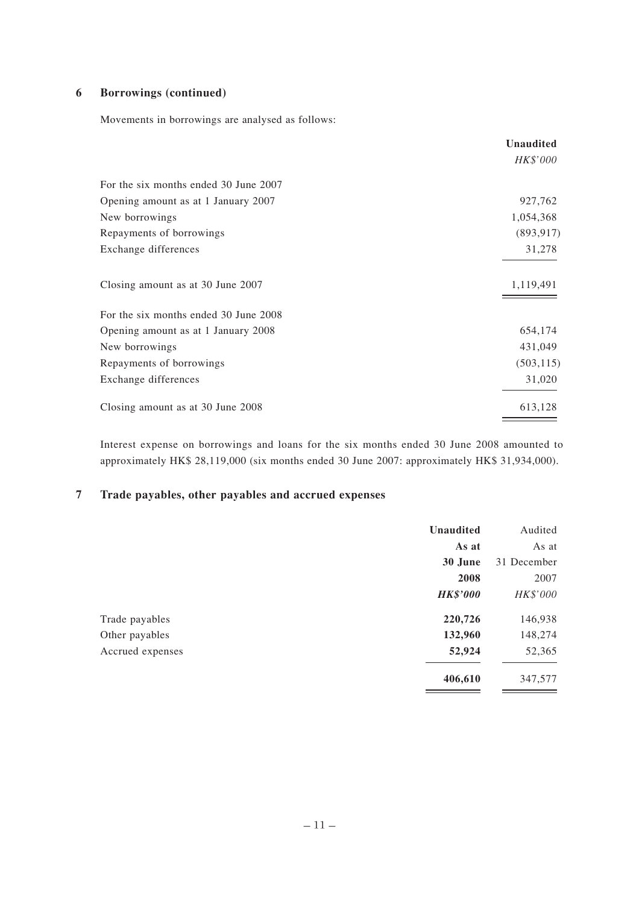#### **6 Borrowings (continued)**

Movements in borrowings are analysed as follows:

|                                       | <b>Unaudited</b> |
|---------------------------------------|------------------|
|                                       | HK\$'000         |
| For the six months ended 30 June 2007 |                  |
| Opening amount as at 1 January 2007   | 927,762          |
| New borrowings                        | 1,054,368        |
| Repayments of borrowings              | (893, 917)       |
| Exchange differences                  | 31,278           |
| Closing amount as at 30 June 2007     | 1,119,491        |
| For the six months ended 30 June 2008 |                  |
| Opening amount as at 1 January 2008   | 654,174          |
| New borrowings                        | 431,049          |
| Repayments of borrowings              | (503, 115)       |
| Exchange differences                  | 31,020           |
| Closing amount as at 30 June 2008     | 613,128          |

Interest expense on borrowings and loans for the six months ended 30 June 2008 amounted to approximately HK\$ 28,119,000 (six months ended 30 June 2007: approximately HK\$ 31,934,000).

#### **7 Trade payables, other payables and accrued expenses**

|                  | <b>Unaudited</b> | Audited     |
|------------------|------------------|-------------|
|                  | As at            | As at       |
|                  | 30 June          | 31 December |
|                  | 2008             | 2007        |
|                  | <b>HK\$'000</b>  | HK\$'000    |
| Trade payables   | 220,726          | 146,938     |
| Other payables   | 132,960          | 148,274     |
| Accrued expenses | 52,924           | 52,365      |
|                  | 406,610          | 347,577     |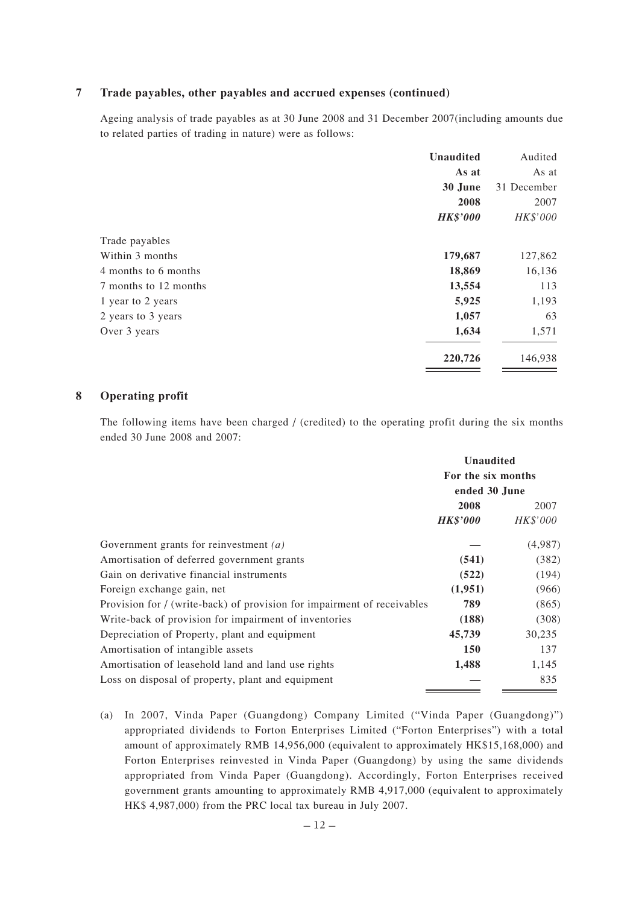#### **7 Trade payables, other payables and accrued expenses (continued)**

Ageing analysis of trade payables as at 30 June 2008 and 31 December 2007(including amounts due to related parties of trading in nature) were as follows:

|                       | <b>Unaudited</b> | Audited     |
|-----------------------|------------------|-------------|
|                       | As at            | As at       |
|                       | 30 June          | 31 December |
|                       | 2008             | 2007        |
|                       | <b>HK\$'000</b>  | HK\$'000    |
| Trade payables        |                  |             |
| Within 3 months       | 179,687          | 127,862     |
| 4 months to 6 months  | 18,869           | 16,136      |
| 7 months to 12 months | 13,554           | 113         |
| 1 year to 2 years     | 5,925            | 1,193       |
| 2 years to 3 years    | 1,057            | 63          |
| Over 3 years          | 1,634            | 1,571       |
|                       | 220,726          | 146,938     |

#### **8 Operating profit**

The following items have been charged / (credited) to the operating profit during the six months ended 30 June 2008 and 2007:

|                                                                         | <b>Unaudited</b><br>For the six months<br>ended 30 June |          |
|-------------------------------------------------------------------------|---------------------------------------------------------|----------|
|                                                                         |                                                         |          |
|                                                                         |                                                         |          |
|                                                                         | 2008                                                    | 2007     |
|                                                                         | <b>HK\$'000</b>                                         | HK\$'000 |
| Government grants for reinvestment $(a)$                                |                                                         | (4,987)  |
| Amortisation of deferred government grants                              | (541)                                                   | (382)    |
| Gain on derivative financial instruments                                | (522)                                                   | (194)    |
| Foreign exchange gain, net                                              | (1,951)                                                 | (966)    |
| Provision for / (write-back) of provision for impairment of receivables | 789                                                     | (865)    |
| Write-back of provision for impairment of inventories                   | (188)                                                   | (308)    |
| Depreciation of Property, plant and equipment                           | 45,739                                                  | 30,235   |
| Amortisation of intangible assets                                       | 150                                                     | 137      |
| Amortisation of leasehold land and land use rights                      | 1,488                                                   | 1,145    |
| Loss on disposal of property, plant and equipment                       |                                                         | 835      |

(a) In 2007, Vinda Paper (Guangdong) Company Limited ("Vinda Paper (Guangdong)") appropriated dividends to Forton Enterprises Limited ("Forton Enterprises") with a total amount of approximately RMB 14,956,000 (equivalent to approximately HK\$15,168,000) and Forton Enterprises reinvested in Vinda Paper (Guangdong) by using the same dividends appropriated from Vinda Paper (Guangdong). Accordingly, Forton Enterprises received government grants amounting to approximately RMB 4,917,000 (equivalent to approximately HK\$ 4,987,000) from the PRC local tax bureau in July 2007.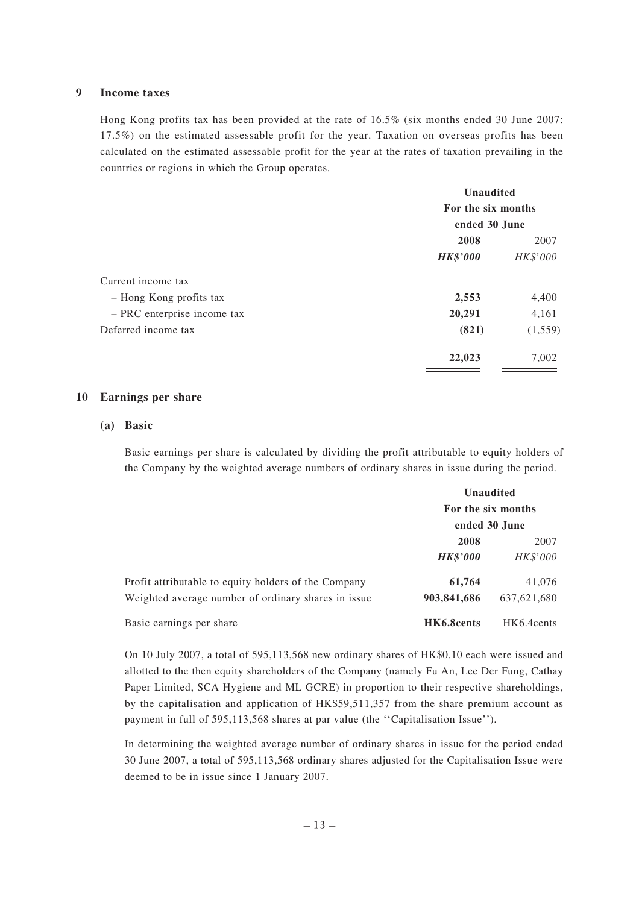#### **9 Income taxes**

Hong Kong profits tax has been provided at the rate of 16.5% (six months ended 30 June 2007: 17.5%) on the estimated assessable profit for the year. Taxation on overseas profits has been calculated on the estimated assessable profit for the year at the rates of taxation prevailing in the countries or regions in which the Group operates.

| <b>Unaudited</b><br>For the six months<br>ended 30 June |          |                 |          |
|---------------------------------------------------------|----------|-----------------|----------|
|                                                         |          | 2008            | 2007     |
|                                                         |          | <b>HK\$'000</b> | HK\$'000 |
|                                                         |          |                 |          |
| 2,553                                                   | 4,400    |                 |          |
| 20,291                                                  | 4,161    |                 |          |
| (821)                                                   | (1, 559) |                 |          |
| 22,023                                                  | 7,002    |                 |          |
|                                                         |          |                 |          |

#### **10 Earnings per share**

#### **(a) Basic**

Basic earnings per share is calculated by dividing the profit attributable to equity holders of the Company by the weighted average numbers of ordinary shares in issue during the period.

|                                                      | <b>Unaudited</b><br>For the six months<br>ended 30 June |             |
|------------------------------------------------------|---------------------------------------------------------|-------------|
|                                                      |                                                         |             |
|                                                      | 2008                                                    | 2007        |
|                                                      | <b>HK\$'000</b>                                         | HK\$'000    |
| Profit attributable to equity holders of the Company | 61,764                                                  | 41,076      |
| Weighted average number of ordinary shares in issue  | 903,841,686                                             | 637,621,680 |
| Basic earnings per share                             | HK6.8cents                                              | HK6.4cents  |

On 10 July 2007, a total of 595,113,568 new ordinary shares of HK\$0.10 each were issued and allotted to the then equity shareholders of the Company (namely Fu An, Lee Der Fung, Cathay Paper Limited, SCA Hygiene and ML GCRE) in proportion to their respective shareholdings, by the capitalisation and application of HK\$59,511,357 from the share premium account as payment in full of 595,113,568 shares at par value (the ''Capitalisation Issue'').

In determining the weighted average number of ordinary shares in issue for the period ended 30 June 2007, a total of 595,113,568 ordinary shares adjusted for the Capitalisation Issue were deemed to be in issue since 1 January 2007.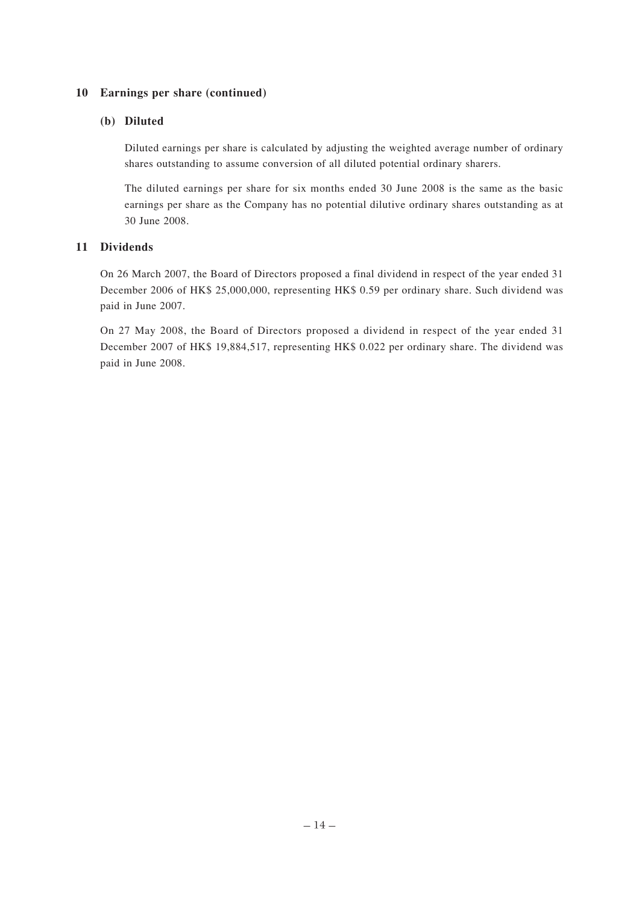#### **10 Earnings per share (continued)**

#### **(b) Diluted**

Diluted earnings per share is calculated by adjusting the weighted average number of ordinary shares outstanding to assume conversion of all diluted potential ordinary sharers.

The diluted earnings per share for six months ended 30 June 2008 is the same as the basic earnings per share as the Company has no potential dilutive ordinary shares outstanding as at 30 June 2008.

#### **11 Dividends**

On 26 March 2007, the Board of Directors proposed a final dividend in respect of the year ended 31 December 2006 of HK\$ 25,000,000, representing HK\$ 0.59 per ordinary share. Such dividend was paid in June 2007.

On 27 May 2008, the Board of Directors proposed a dividend in respect of the year ended 31 December 2007 of HK\$ 19,884,517, representing HK\$ 0.022 per ordinary share. The dividend was paid in June 2008.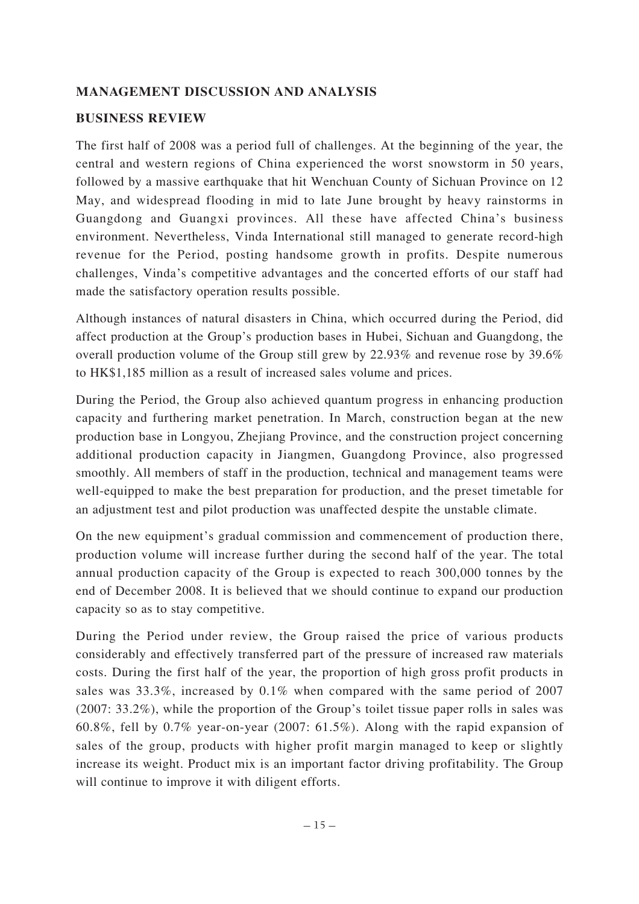## **MANAGEMENT DISCUSSION AND ANALYSIS**

## **BUSINESS REVIEW**

The first half of 2008 was a period full of challenges. At the beginning of the year, the central and western regions of China experienced the worst snowstorm in 50 years, followed by a massive earthquake that hit Wenchuan County of Sichuan Province on 12 May, and widespread flooding in mid to late June brought by heavy rainstorms in Guangdong and Guangxi provinces. All these have affected China's business environment. Nevertheless, Vinda International still managed to generate record-high revenue for the Period, posting handsome growth in profits. Despite numerous challenges, Vinda's competitive advantages and the concerted efforts of our staff had made the satisfactory operation results possible.

Although instances of natural disasters in China, which occurred during the Period, did affect production at the Group's production bases in Hubei, Sichuan and Guangdong, the overall production volume of the Group still grew by 22.93% and revenue rose by 39.6% to HK\$1,185 million as a result of increased sales volume and prices.

During the Period, the Group also achieved quantum progress in enhancing production capacity and furthering market penetration. In March, construction began at the new production base in Longyou, Zhejiang Province, and the construction project concerning additional production capacity in Jiangmen, Guangdong Province, also progressed smoothly. All members of staff in the production, technical and management teams were well-equipped to make the best preparation for production, and the preset timetable for an adjustment test and pilot production was unaffected despite the unstable climate.

On the new equipment's gradual commission and commencement of production there, production volume will increase further during the second half of the year. The total annual production capacity of the Group is expected to reach 300,000 tonnes by the end of December 2008. It is believed that we should continue to expand our production capacity so as to stay competitive.

During the Period under review, the Group raised the price of various products considerably and effectively transferred part of the pressure of increased raw materials costs. During the first half of the year, the proportion of high gross profit products in sales was 33.3%, increased by 0.1% when compared with the same period of 2007 (2007: 33.2%), while the proportion of the Group's toilet tissue paper rolls in sales was 60.8%, fell by 0.7% year-on-year (2007: 61.5%). Along with the rapid expansion of sales of the group, products with higher profit margin managed to keep or slightly increase its weight. Product mix is an important factor driving profitability. The Group will continue to improve it with diligent efforts.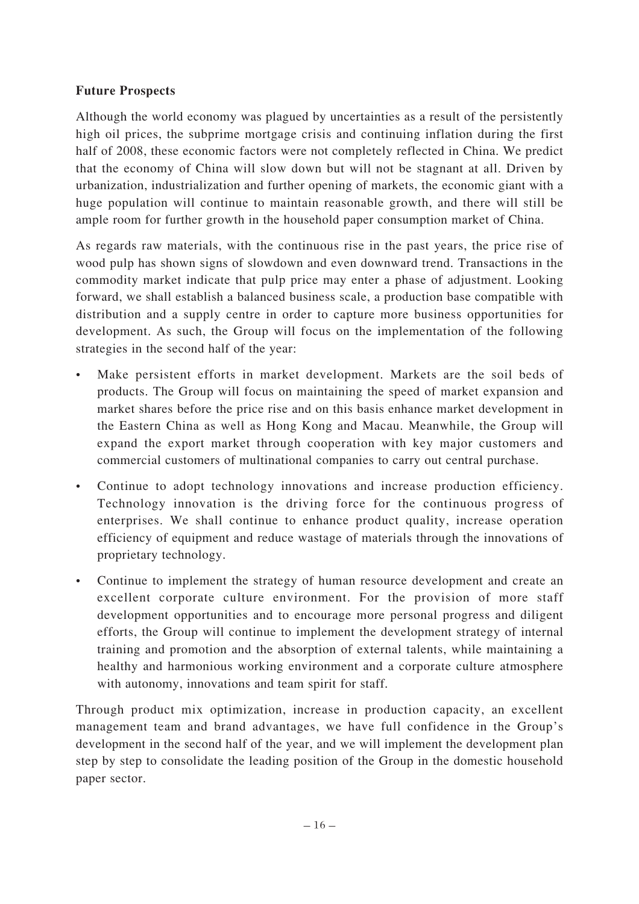## **Future Prospects**

Although the world economy was plagued by uncertainties as a result of the persistently high oil prices, the subprime mortgage crisis and continuing inflation during the first half of 2008, these economic factors were not completely reflected in China. We predict that the economy of China will slow down but will not be stagnant at all. Driven by urbanization, industrialization and further opening of markets, the economic giant with a huge population will continue to maintain reasonable growth, and there will still be ample room for further growth in the household paper consumption market of China.

As regards raw materials, with the continuous rise in the past years, the price rise of wood pulp has shown signs of slowdown and even downward trend. Transactions in the commodity market indicate that pulp price may enter a phase of adjustment. Looking forward, we shall establish a balanced business scale, a production base compatible with distribution and a supply centre in order to capture more business opportunities for development. As such, the Group will focus on the implementation of the following strategies in the second half of the year:

- Make persistent efforts in market development. Markets are the soil beds of products. The Group will focus on maintaining the speed of market expansion and market shares before the price rise and on this basis enhance market development in the Eastern China as well as Hong Kong and Macau. Meanwhile, the Group will expand the export market through cooperation with key major customers and commercial customers of multinational companies to carry out central purchase.
- Continue to adopt technology innovations and increase production efficiency. Technology innovation is the driving force for the continuous progress of enterprises. We shall continue to enhance product quality, increase operation efficiency of equipment and reduce wastage of materials through the innovations of proprietary technology.
- Continue to implement the strategy of human resource development and create an excellent corporate culture environment. For the provision of more staff development opportunities and to encourage more personal progress and diligent efforts, the Group will continue to implement the development strategy of internal training and promotion and the absorption of external talents, while maintaining a healthy and harmonious working environment and a corporate culture atmosphere with autonomy, innovations and team spirit for staff.

Through product mix optimization, increase in production capacity, an excellent management team and brand advantages, we have full confidence in the Group's development in the second half of the year, and we will implement the development plan step by step to consolidate the leading position of the Group in the domestic household paper sector.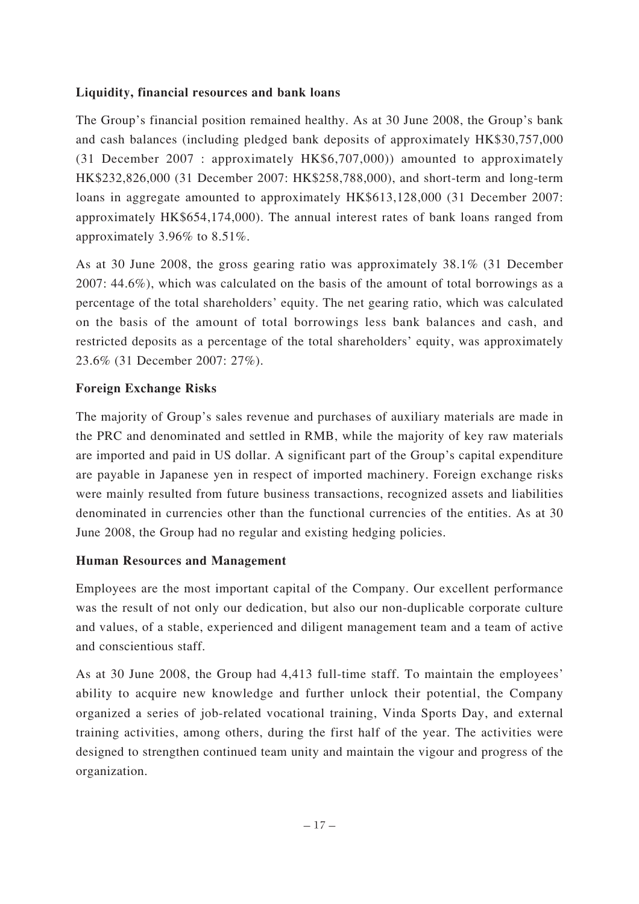## **Liquidity, financial resources and bank loans**

The Group's financial position remained healthy. As at 30 June 2008, the Group's bank and cash balances (including pledged bank deposits of approximately HK\$30,757,000 (31 December 2007 : approximately HK\$6,707,000)) amounted to approximately HK\$232,826,000 (31 December 2007: HK\$258,788,000), and short-term and long-term loans in aggregate amounted to approximately HK\$613,128,000 (31 December 2007: approximately HK\$654,174,000). The annual interest rates of bank loans ranged from approximately 3.96% to 8.51%.

As at 30 June 2008, the gross gearing ratio was approximately 38.1% (31 December 2007: 44.6%), which was calculated on the basis of the amount of total borrowings as a percentage of the total shareholders' equity. The net gearing ratio, which was calculated on the basis of the amount of total borrowings less bank balances and cash, and restricted deposits as a percentage of the total shareholders' equity, was approximately 23.6% (31 December 2007: 27%).

## **Foreign Exchange Risks**

The majority of Group's sales revenue and purchases of auxiliary materials are made in the PRC and denominated and settled in RMB, while the majority of key raw materials are imported and paid in US dollar. A significant part of the Group's capital expenditure are payable in Japanese yen in respect of imported machinery. Foreign exchange risks were mainly resulted from future business transactions, recognized assets and liabilities denominated in currencies other than the functional currencies of the entities. As at 30 June 2008, the Group had no regular and existing hedging policies.

## **Human Resources and Management**

Employees are the most important capital of the Company. Our excellent performance was the result of not only our dedication, but also our non-duplicable corporate culture and values, of a stable, experienced and diligent management team and a team of active and conscientious staff.

As at 30 June 2008, the Group had 4,413 full-time staff. To maintain the employees' ability to acquire new knowledge and further unlock their potential, the Company organized a series of job-related vocational training, Vinda Sports Day, and external training activities, among others, during the first half of the year. The activities were designed to strengthen continued team unity and maintain the vigour and progress of the organization.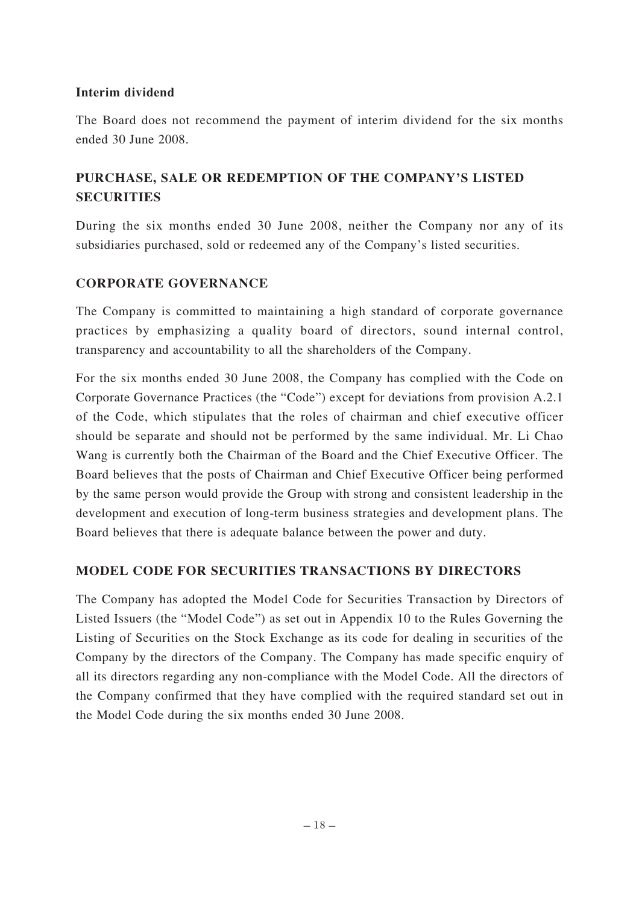## **Interim dividend**

The Board does not recommend the payment of interim dividend for the six months ended 30 June 2008.

## **PURCHASE, SALE OR REDEMPTION OF THE COMPANY'S LISTED SECURITIES**

During the six months ended 30 June 2008, neither the Company nor any of its subsidiaries purchased, sold or redeemed any of the Company's listed securities.

## **CORPORATE GOVERNANCE**

The Company is committed to maintaining a high standard of corporate governance practices by emphasizing a quality board of directors, sound internal control, transparency and accountability to all the shareholders of the Company.

For the six months ended 30 June 2008, the Company has complied with the Code on Corporate Governance Practices (the "Code") except for deviations from provision A.2.1 of the Code, which stipulates that the roles of chairman and chief executive officer should be separate and should not be performed by the same individual. Mr. Li Chao Wang is currently both the Chairman of the Board and the Chief Executive Officer. The Board believes that the posts of Chairman and Chief Executive Officer being performed by the same person would provide the Group with strong and consistent leadership in the development and execution of long-term business strategies and development plans. The Board believes that there is adequate balance between the power and duty.

## **MODEL CODE FOR SECURITIES TRANSACTIONS BY DIRECTORS**

The Company has adopted the Model Code for Securities Transaction by Directors of Listed Issuers (the "Model Code") as set out in Appendix 10 to the Rules Governing the Listing of Securities on the Stock Exchange as its code for dealing in securities of the Company by the directors of the Company. The Company has made specific enquiry of all its directors regarding any non-compliance with the Model Code. All the directors of the Company confirmed that they have complied with the required standard set out in the Model Code during the six months ended 30 June 2008.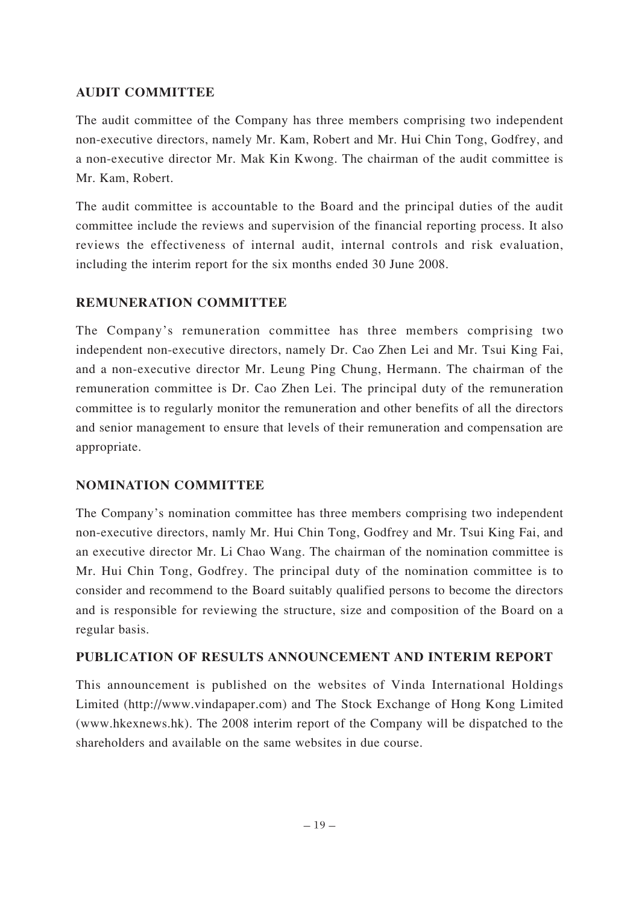## **AUDIT COMMITTEE**

The audit committee of the Company has three members comprising two independent non-executive directors, namely Mr. Kam, Robert and Mr. Hui Chin Tong, Godfrey, and a non-executive director Mr. Mak Kin Kwong. The chairman of the audit committee is Mr. Kam, Robert.

The audit committee is accountable to the Board and the principal duties of the audit committee include the reviews and supervision of the financial reporting process. It also reviews the effectiveness of internal audit, internal controls and risk evaluation, including the interim report for the six months ended 30 June 2008.

## **REMUNERATION COMMITTEE**

The Company's remuneration committee has three members comprising two independent non-executive directors, namely Dr. Cao Zhen Lei and Mr. Tsui King Fai, and a non-executive director Mr. Leung Ping Chung, Hermann. The chairman of the remuneration committee is Dr. Cao Zhen Lei. The principal duty of the remuneration committee is to regularly monitor the remuneration and other benefits of all the directors and senior management to ensure that levels of their remuneration and compensation are appropriate.

## **NOMINATION COMMITTEE**

The Company's nomination committee has three members comprising two independent non-executive directors, namly Mr. Hui Chin Tong, Godfrey and Mr. Tsui King Fai, and an executive director Mr. Li Chao Wang. The chairman of the nomination committee is Mr. Hui Chin Tong, Godfrey. The principal duty of the nomination committee is to consider and recommend to the Board suitably qualified persons to become the directors and is responsible for reviewing the structure, size and composition of the Board on a regular basis.

## **PUBLICATION OF RESULTS ANNOUNCEMENT AND INTERIM REPORT**

This announcement is published on the websites of Vinda International Holdings Limited (http://www.vindapaper.com) and The Stock Exchange of Hong Kong Limited (www.hkexnews.hk). The 2008 interim report of the Company will be dispatched to the shareholders and available on the same websites in due course.